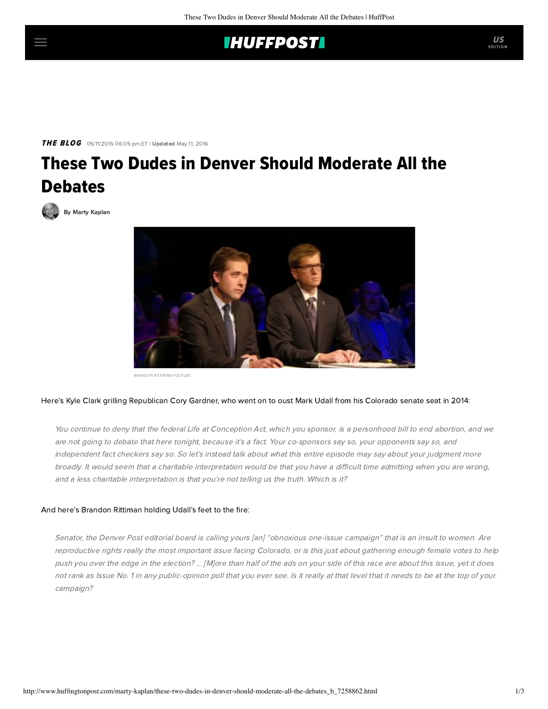## **IHUFFPOSTI**

THE BLOG 05/11/2015 06:05 pm ET | Updated May 11, 2016

# These Two Dudes in Denver Should Moderate All the Debates

[By Marty Kaplan](http://www.huffingtonpost.com/author/marty-kaplan)



BRANDON RITTIMAN/YOUTUBE

### [Here's](http://learcenter.org/project/ca/winning-entries-2015/) Kyle Clark grilling Republican Cory Gardner, who went on to oust Mark Udall from his Colorado senate seat in 2014:

You continue to deny that the federal Life at Conception Act, which you sponsor, is a personhood bill to end abortion, and we are not going to debate that here tonight, because it's a fact. Your co-sponsors say so, your opponents say so, and independent fact checkers say so. So let's instead talk about what this entire episode may say about your judgment more broadly. It would seem that a charitable interpretation would be that you have a difficult time admitting when you are wrong, and a less charitable interpretation is that you're not telling us the truth. Which is it?

### And [here's](http://learcenter.org/project/ca/winning-entries-2015/) Brandon Rittiman holding Udall's feet to the fire:

Senator, the Denver Post editorial board is calling yours [an] "obnoxious one-issue campaign" that is an insult to women. Are reproductive rights really the most important issue facing Colorado, or is this just about gathering enough female votes to help push you over the edge in the election? ... [M]ore than half of the ads on your side of this race are about this issue, yet it does not rank as Issue No. 1 in any public-opinion poll that you ever see. Is it really at that level that it needs to be at the top of your campaign?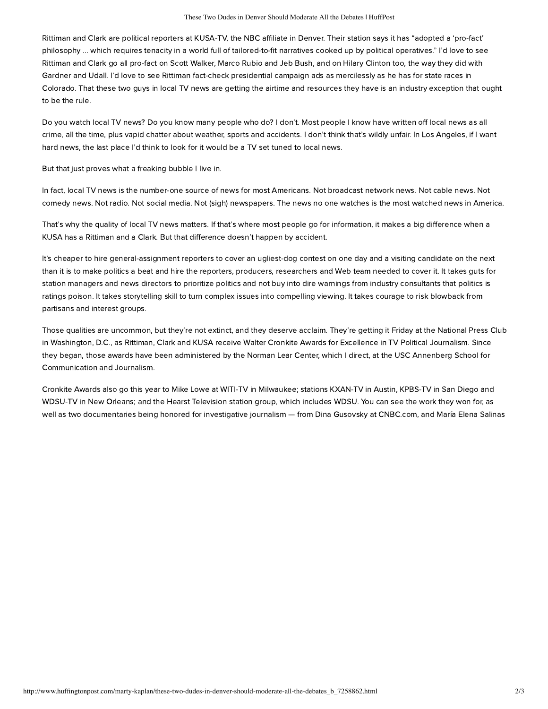Rittiman and Clark are political reporters at KUSA-TV, the NBC affiliate in Denver. Their station says it has "adopted a 'pro-fact' philosophy ... which requires tenacity in a world full of tailored-to-fit narratives cooked up by political operatives." I'd love to see Rittiman and Clark go all pro-fact on Scott Walker, Marco Rubio and Jeb Bush, and on Hilary Clinton too, the way they did with Gardner and Udall. I'd love to see Rittiman fact-check presidential campaign ads as mercilessly as he has for state races in Colorado. That these two guys in local TV news are getting the airtime and resources they have is an industry exception that ought to be the rule.

Do you watch local TV news? Do you know many people who do? I don't. Most people I know have written off local news as all crime, all the time, plus vapid chatter about weather, sports and accidents. I don't think that's wildly unfair. In Los Angeles, if I want hard news, the last place I'd think to look for it would be a TV set tuned to local news.

But that just proves what a freaking bubble I live in.

In fact, local TV news is the number-one source of news for most Americans. Not broadcast network news. Not cable news. Not comedy news. Not radio. Not social media. Not (sigh) newspapers. The news no one watches is the most watched news in America.

That's why the quality of local TV news matters. If that's where most people go for information, it makes a big difference when a KUSA has a Rittiman and a Clark. But that difference doesn't happen by accident.

It's cheaper to hire general-assignment reporters to cover an ugliest-dog contest on one day and a visiting candidate on the next than it is to make politics a beat and hire the reporters, producers, researchers and Web team needed to cover it. It takes guts for station managers and news directors to prioritize politics and not buy into dire warnings from industry consultants that politics is ratings poison. It takes storytelling skill to turn complex issues into compelling viewing. It takes courage to risk blowback from partisans and interest groups.

Those qualities are uncommon, but they're not extinct, and they deserve acclaim. They're getting it Friday at the National Press Club in Washington, D.C., as Rittiman, Clark and KUSA receive Walter Cronkite Awards for Excellence in TV Political Journalism. Since they began, those awards have been administered by the Norman Lear Center, which I direct, at the USC Annenberg School for Communication and Journalism.

Cronkite Awards also go this year to Mike Lowe at WITI-TV in Milwaukee; stations KXAN-TV in Austin, KPBS-TV in San Diego and WDSU-TV in New Orleans; and the Hearst Television station group, which includes WDSU. You can see the work they won for, as well as two documentaries being honored for investigative journalism — from Dina Gusovsky at CNBC.com, and María Elena Salinas